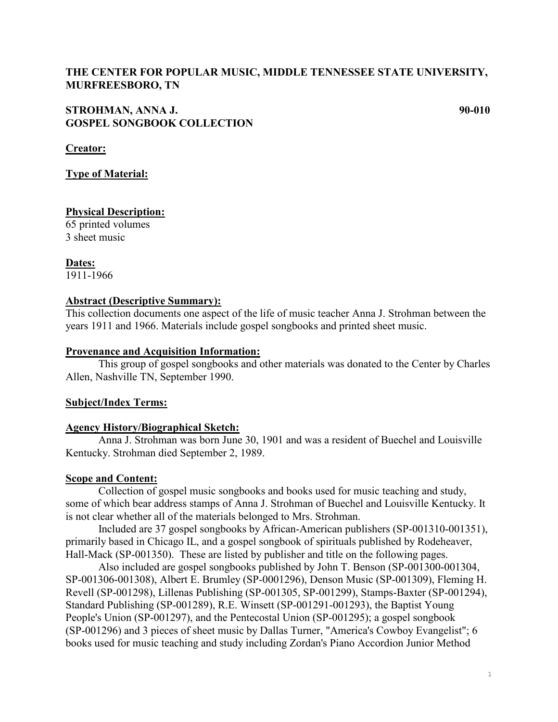## **THE CENTER FOR POPULAR MUSIC, MIDDLE TENNESSEE STATE UNIVERSITY, MURFREESBORO, TN**

## **STROHMAN, ANNA J. 90-010 GOSPEL SONGBOOK COLLECTION**

**Creator:** 

### **Type of Material:**

### **Physical Description:**

65 printed volumes 3 sheet music

**Dates:** 1911-1966

#### **Abstract (Descriptive Summary):**

This collection documents one aspect of the life of music teacher Anna J. Strohman between the years 1911 and 1966. Materials include gospel songbooks and printed sheet music.

#### **Provenance and Acquisition Information:**

This group of gospel songbooks and other materials was donated to the Center by Charles Allen, Nashville TN, September 1990.

### **Subject/Index Terms:**

### **Agency History/Biographical Sketch:**

Anna J. Strohman was born June 30, 1901 and was a resident of Buechel and Louisville Kentucky. Strohman died September 2, 1989.

### **Scope and Content:**

Collection of gospel music songbooks and books used for music teaching and study, some of which bear address stamps of Anna J. Strohman of Buechel and Louisville Kentucky. It is not clear whether all of the materials belonged to Mrs. Strohman.

Included are 37 gospel songbooks by African-American publishers (SP-001310-001351), primarily based in Chicago IL, and a gospel songbook of spirituals published by Rodeheaver, Hall-Mack (SP-001350). These are listed by publisher and title on the following pages.

Also included are gospel songbooks published by John T. Benson (SP-001300-001304, SP-001306-001308), Albert E. Brumley (SP-0001296), Denson Music (SP-001309), Fleming H. Revell (SP-001298), Lillenas Publishing (SP-001305, SP-001299), Stamps-Baxter (SP-001294), Standard Publishing (SP-001289), R.E. Winsett (SP-001291-001293), the Baptist Young People's Union (SP-001297), and the Pentecostal Union (SP-001295); a gospel songbook (SP-001296) and 3 pieces of sheet music by Dallas Turner, "America's Cowboy Evangelist"; 6 books used for music teaching and study including Zordan's Piano Accordion Junior Method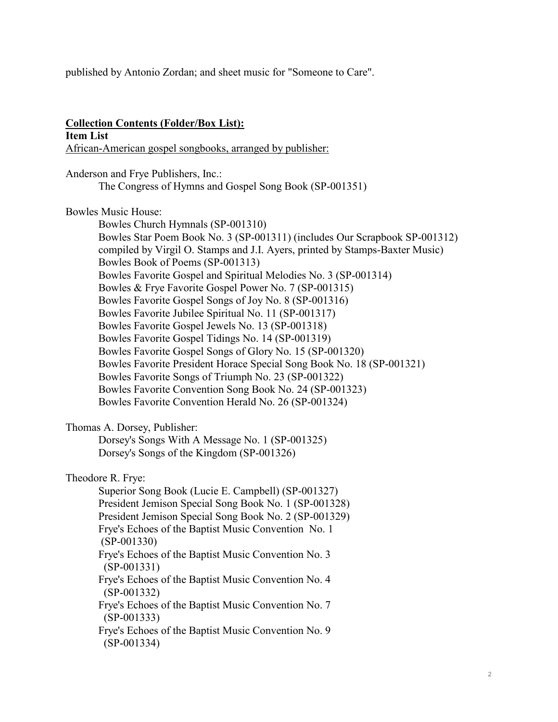published by Antonio Zordan; and sheet music for "Someone to Care".

### **Collection Contents (Folder/Box List): Item List** African-American gospel songbooks, arranged by publisher:

Anderson and Frye Publishers, Inc.: The Congress of Hymns and Gospel Song Book (SP-001351)

## Bowles Music House:

Bowles Church Hymnals (SP-001310) Bowles Star Poem Book No. 3 (SP-001311) (includes Our Scrapbook SP-001312) compiled by Virgil O. Stamps and J.I. Ayers, printed by Stamps-Baxter Music) Bowles Book of Poems (SP-001313) Bowles Favorite Gospel and Spiritual Melodies No. 3 (SP-001314) Bowles & Frye Favorite Gospel Power No. 7 (SP-001315) Bowles Favorite Gospel Songs of Joy No. 8 (SP-001316) Bowles Favorite Jubilee Spiritual No. 11 (SP-001317) Bowles Favorite Gospel Jewels No. 13 (SP-001318) Bowles Favorite Gospel Tidings No. 14 (SP-001319) Bowles Favorite Gospel Songs of Glory No. 15 (SP-001320) Bowles Favorite President Horace Special Song Book No. 18 (SP-001321) Bowles Favorite Songs of Triumph No. 23 (SP-001322) Bowles Favorite Convention Song Book No. 24 (SP-001323) Bowles Favorite Convention Herald No. 26 (SP-001324)

## Thomas A. Dorsey, Publisher:

(SP-001334)

Dorsey's Songs With A Message No. 1 (SP-001325) Dorsey's Songs of the Kingdom (SP-001326)

## Theodore R. Frye:

Superior Song Book (Lucie E. Campbell) (SP-001327) President Jemison Special Song Book No. 1 (SP-001328) President Jemison Special Song Book No. 2 (SP-001329) Frye's Echoes of the Baptist Music Convention No. 1 (SP-001330) Frye's Echoes of the Baptist Music Convention No. 3 (SP-001331) Frye's Echoes of the Baptist Music Convention No. 4 (SP-001332) Frye's Echoes of the Baptist Music Convention No. 7 (SP-001333) Frye's Echoes of the Baptist Music Convention No. 9

2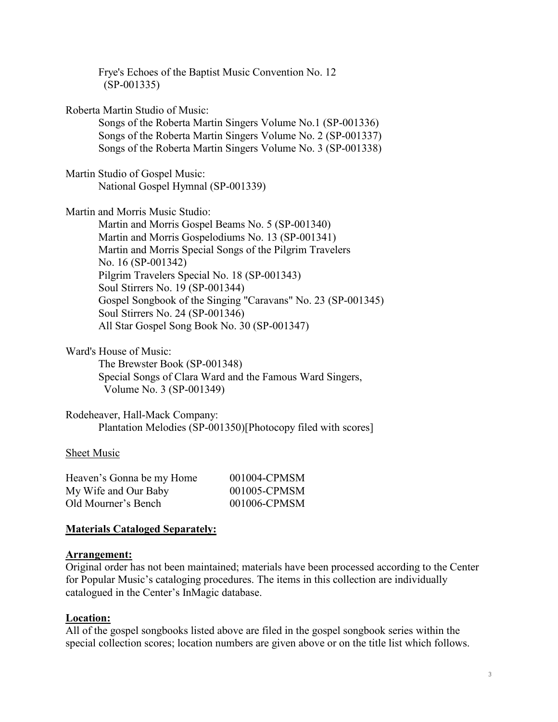| Frye's Echoes of the Baptist Music Convention No. 12<br>$(SP-001335)$ |
|-----------------------------------------------------------------------|
| Roberta Martin Studio of Music:                                       |
| Songs of the Roberta Martin Singers Volume No.1 (SP-001336)           |
| Songs of the Roberta Martin Singers Volume No. 2 (SP-001337)          |
| Songs of the Roberta Martin Singers Volume No. 3 (SP-001338)          |
| Martin Studio of Gospel Music:                                        |
| National Gospel Hymnal (SP-001339)                                    |
| Martin and Morris Music Studio:                                       |
| Martin and Morris Gospel Beams No. 5 (SP-001340)                      |
| Martin and Morris Gospelodiums No. 13 (SP-001341)                     |
| Martin and Morris Special Songs of the Pilgrim Travelers              |
| No. 16 (SP-001342)                                                    |
| Pilgrim Travelers Special No. 18 (SP-001343)                          |
| Soul Stirrers No. 19 (SP-001344)                                      |
| Gospel Songbook of the Singing "Caravans" No. 23 (SP-001345)          |
| Soul Stirrers No. 24 (SP-001346)                                      |
| All Star Gospel Song Book No. 30 (SP-001347)                          |
| Ward's House of Music:                                                |
| The Brewster Book (SP-001348)                                         |
| Special Songs of Clara Ward and the Famous Ward Singers,              |
| Volume No. 3 (SP-001349)                                              |

Rodeheaver, Hall-Mack Company: Plantation Melodies (SP-001350)[Photocopy filed with scores]

### Sheet Music

| Heaven's Gonna be my Home | 001004-CPMSM |
|---------------------------|--------------|
| My Wife and Our Baby      | 001005-CPMSM |
| Old Mourner's Bench       | 001006-CPMSM |

## **Materials Cataloged Separately:**

### **Arrangement:**

Original order has not been maintained; materials have been processed according to the Center for Popular Music's cataloging procedures. The items in this collection are individually catalogued in the Center's InMagic database.

### **Location:**

All of the gospel songbooks listed above are filed in the gospel songbook series within the special collection scores; location numbers are given above or on the title list which follows.